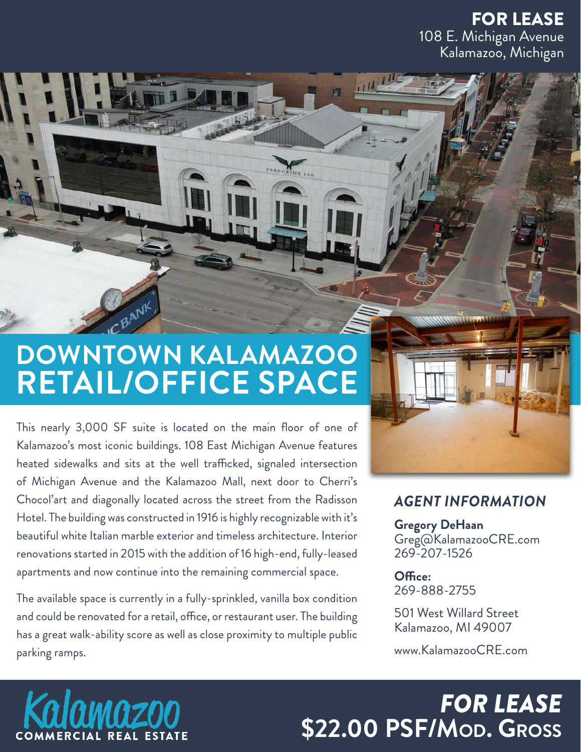FOR LEASE 108 E. Michigan Avenue Kalamazoo, Michigan

# **DOWNTOWN KALAMAZOO RETAIL/OFFICE SPACE**

This nearly 3,000 SF suite is located on the main floor of one of Kalamazoo's most iconic buildings. 108 East Michigan Avenue features heated sidewalks and sits at the well trafficked, signaled intersection of Michigan Avenue and the Kalamazoo Mall, next door to Cherri's Chocol'art and diagonally located across the street from the Radisson Hotel. The building was constructed in 1916 is highly recognizable with it's beautiful white Italian marble exterior and timeless architecture. Interior renovations started in 2015 with the addition of 16 high-end, fully-leased apartments and now continue into the remaining commercial space.

The available space is currently in a fully-sprinkled, vanilla box condition and could be renovated for a retail, office, or restaurant user. The building has a great walk-ability score as well as close proximity to multiple public parking ramps.

#### *AGENT INFORMATION*

**Gregory DeHaan** Greg@KalamazooCRE.com 269-207-1526

**Office:** 269-888-2755

501 West Willard Street Kalamazoo, MI 49007

www.KalamazooCRE.com

# *FOR LEASE* **\$22.00 PSF/Mod. Gross**

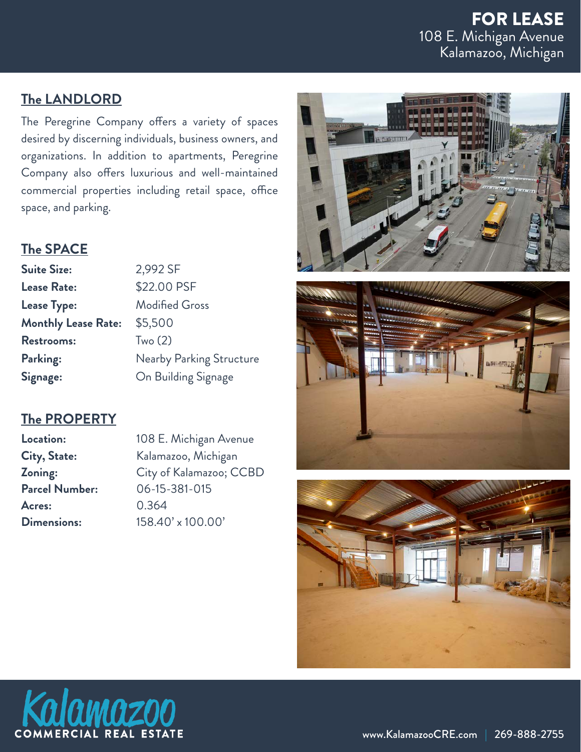### FOR LEASE 108 E. Michigan Avenue Kalamazoo, Michigan

#### **The LANDLORD**

The Peregrine Company offers a variety of spaces desired by discerning individuals, business owners, and organizations. In addition to apartments, Peregrine Company also offers luxurious and well-maintained commercial properties including retail space, office space, and parking.

#### **The SPACE**

| <b>Suite Size:</b>         | 2,992 SF              |
|----------------------------|-----------------------|
| <b>Lease Rate:</b>         | \$22.00 PSF           |
| <b>Lease Type:</b>         | <b>Modified Gross</b> |
| <b>Monthly Lease Rate:</b> | \$5,500               |
| <b>Restrooms:</b>          | Two(2)                |
| Parking:                   | Nearby Parking Stru   |
| Signage:                   | On Building Signage   |

#### **The PROPERTY**

**Parcel Number:** 06-15-381-015 **Acres:** 0.364

**Location:** 108 E. Michigan Avenue **City, State:** Kalamazoo, Michigan **Zoning:** City of Kalamazoo; CCBD **Dimensions:** 158.40' x 100.00'

**Structure** 







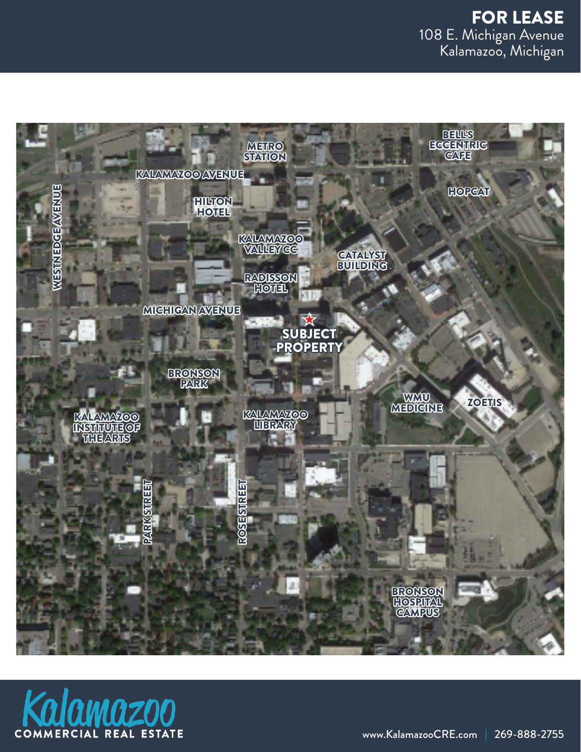

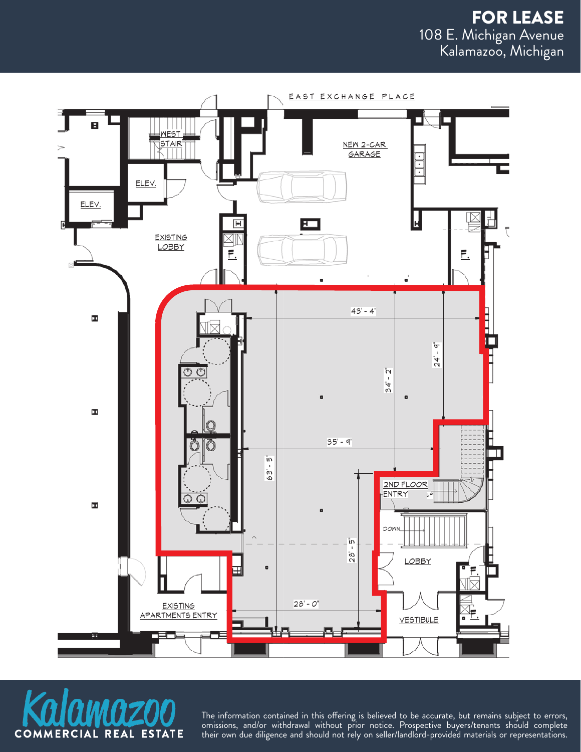



The information contained in this offering is believed to be accurate, but remains subject to errors, omissions, and/or withdrawal without prior notice. Prospective buyers/tenants should complete their own due diligence and should not rely on seller/landlord-provided materials or representations.